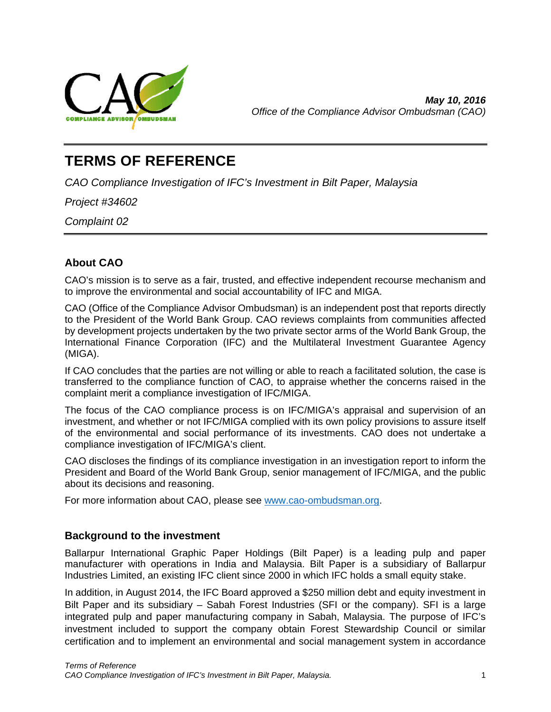

# **TERMS OF REFERENCE**

*CAO Compliance Investigation of IFC's Investment in Bilt Paper, Malaysia* 

*Project #34602* 

*Complaint 02*

## **About CAO**

CAO's mission is to serve as a fair, trusted, and effective independent recourse mechanism and to improve the environmental and social accountability of IFC and MIGA.

CAO (Office of the Compliance Advisor Ombudsman) is an independent post that reports directly to the President of the World Bank Group. CAO reviews complaints from communities affected by development projects undertaken by the two private sector arms of the World Bank Group, the International Finance Corporation (IFC) and the Multilateral Investment Guarantee Agency (MIGA).

If CAO concludes that the parties are not willing or able to reach a facilitated solution, the case is transferred to the compliance function of CAO, to appraise whether the concerns raised in the complaint merit a compliance investigation of IFC/MIGA.

The focus of the CAO compliance process is on IFC/MIGA's appraisal and supervision of an investment, and whether or not IFC/MIGA complied with its own policy provisions to assure itself of the environmental and social performance of its investments. CAO does not undertake a compliance investigation of IFC/MIGA's client.

CAO discloses the findings of its compliance investigation in an investigation report to inform the President and Board of the World Bank Group, senior management of IFC/MIGA, and the public about its decisions and reasoning.

For more information about CAO, please see www.cao-ombudsman.org.

## **Background to the investment**

Ballarpur International Graphic Paper Holdings (Bilt Paper) is a leading pulp and paper manufacturer with operations in India and Malaysia. Bilt Paper is a subsidiary of Ballarpur Industries Limited, an existing IFC client since 2000 in which IFC holds a small equity stake.

In addition, in August 2014, the IFC Board approved a \$250 million debt and equity investment in Bilt Paper and its subsidiary – Sabah Forest Industries (SFI or the company). SFI is a large integrated pulp and paper manufacturing company in Sabah, Malaysia. The purpose of IFC's investment included to support the company obtain Forest Stewardship Council or similar certification and to implement an environmental and social management system in accordance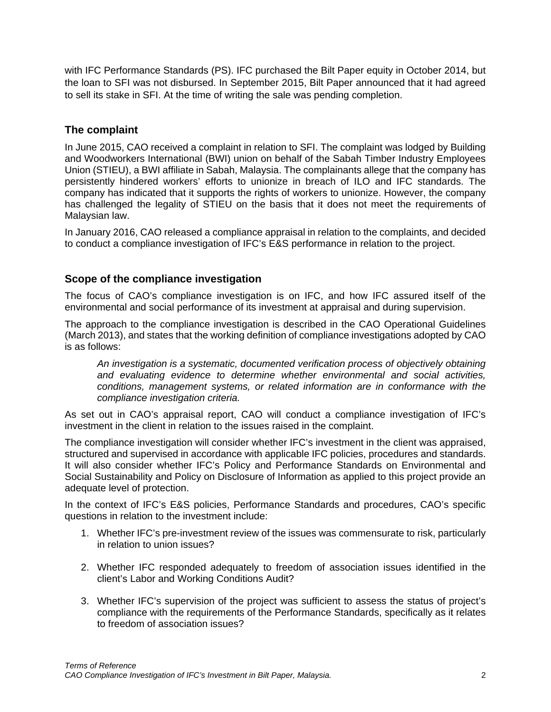with IFC Performance Standards (PS). IFC purchased the Bilt Paper equity in October 2014, but the loan to SFI was not disbursed. In September 2015, Bilt Paper announced that it had agreed to sell its stake in SFI. At the time of writing the sale was pending completion.

## **The complaint**

In June 2015, CAO received a complaint in relation to SFI. The complaint was lodged by Building and Woodworkers International (BWI) union on behalf of the Sabah Timber Industry Employees Union (STIEU), a BWI affiliate in Sabah, Malaysia. The complainants allege that the company has persistently hindered workers' efforts to unionize in breach of ILO and IFC standards. The company has indicated that it supports the rights of workers to unionize. However, the company has challenged the legality of STIEU on the basis that it does not meet the requirements of Malaysian law.

In January 2016, CAO released a compliance appraisal in relation to the complaints, and decided to conduct a compliance investigation of IFC's E&S performance in relation to the project.

#### **Scope of the compliance investigation**

The focus of CAO's compliance investigation is on IFC, and how IFC assured itself of the environmental and social performance of its investment at appraisal and during supervision.

The approach to the compliance investigation is described in the CAO Operational Guidelines (March 2013), and states that the working definition of compliance investigations adopted by CAO is as follows:

*An investigation is a systematic, documented verification process of objectively obtaining and evaluating evidence to determine whether environmental and social activities, conditions, management systems, or related information are in conformance with the compliance investigation criteria.* 

As set out in CAO's appraisal report, CAO will conduct a compliance investigation of IFC's investment in the client in relation to the issues raised in the complaint.

The compliance investigation will consider whether IFC's investment in the client was appraised, structured and supervised in accordance with applicable IFC policies, procedures and standards. It will also consider whether IFC's Policy and Performance Standards on Environmental and Social Sustainability and Policy on Disclosure of Information as applied to this project provide an adequate level of protection.

In the context of IFC's E&S policies, Performance Standards and procedures, CAO's specific questions in relation to the investment include:

- 1. Whether IFC's pre-investment review of the issues was commensurate to risk, particularly in relation to union issues?
- 2. Whether IFC responded adequately to freedom of association issues identified in the client's Labor and Working Conditions Audit?
- 3. Whether IFC's supervision of the project was sufficient to assess the status of project's compliance with the requirements of the Performance Standards, specifically as it relates to freedom of association issues?